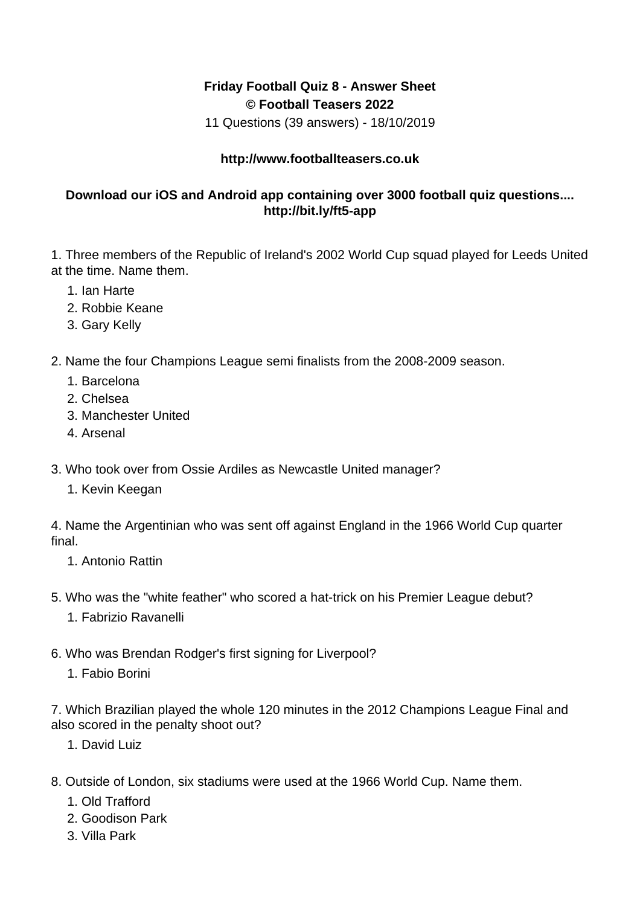## **Friday Football Quiz 8 - Answer Sheet © Football Teasers 2022**

11 Questions (39 answers) - 18/10/2019

## **http://www.footballteasers.co.uk**

## **Download our iOS and Android app containing over 3000 football quiz questions.... http://bit.ly/ft5-app**

1. Three members of the Republic of Ireland's 2002 World Cup squad played for Leeds United at the time. Name them.

- 1. Ian Harte
- 2. Robbie Keane
- 3. Gary Kelly
- 2. Name the four Champions League semi finalists from the 2008-2009 season.
	- 1. Barcelona
	- 2. Chelsea
	- 3. Manchester United
	- 4. Arsenal
- 3. Who took over from Ossie Ardiles as Newcastle United manager?
	- 1. Kevin Keegan

4. Name the Argentinian who was sent off against England in the 1966 World Cup quarter final.

- 1. Antonio Rattin
- 5. Who was the "white feather" who scored a hat-trick on his Premier League debut?
	- 1. Fabrizio Ravanelli
- 6. Who was Brendan Rodger's first signing for Liverpool?
	- 1. Fabio Borini

7. Which Brazilian played the whole 120 minutes in the 2012 Champions League Final and also scored in the penalty shoot out?

- 1. David Luiz
- 8. Outside of London, six stadiums were used at the 1966 World Cup. Name them.
	- 1. Old Trafford
	- 2. Goodison Park
	- 3. Villa Park